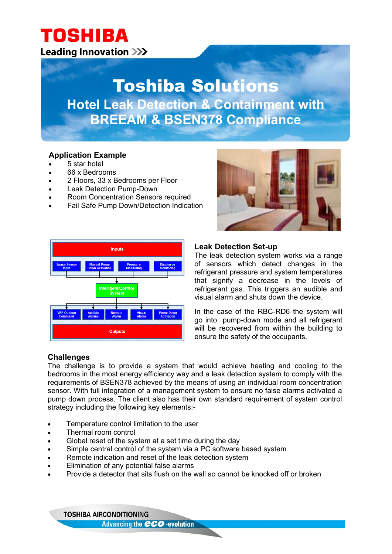### **TOSHIBA Leading Innovation >>>**

## Toshiba Solutions **Hotel Leak Detection & Containment with BREEAM & BSEN378 Compliance**

### **Application Example**

- 5 star hotel
- 66 x Bedrooms
- 2 Floors, 33 x Bedrooms per Floor
- Leak Detection Pump-Down
- Room Concentration Sensors required
- Fail Safe Pump Down/Detection Indication





### **Leak Detection Set-up**

The leak detection system works via a range of sensors which detect changes in the refrigerant pressure and system temperatures that signify a decrease in the levels of refrigerant gas. This triggers an audible and visual alarm and shuts down the device.

In the case of the RBC-RD6 the system will go into pump-down mode and all refrigerant will be recovered from within the building to ensure the safety of the occupants.

### **Challenges**

The challenge is to provide a system that would achieve heating and cooling to the bedrooms in the most energy efficiency way and a leak detection system to comply with the requirements of BSEN378 achieved by the means of using an individual room concentration sensor. With full integration of a management system to ensure no false alarms activated a pump down process. The client also has their own standard requirement of system control strategy including the following key elements:-

- Temperature control limitation to the user
- Thermal room control
- Global reset of the system at a set time during the day
- Simple central control of the system via a PC software based system
- Remote indication and reset of the leak detection system
- Elimination of any potential false alarms
- Provide a detector that sits flush on the wall so cannot be knocked off or broken

**TOSHIBA AIRCONDITIONING Advancing the CCO-evolution**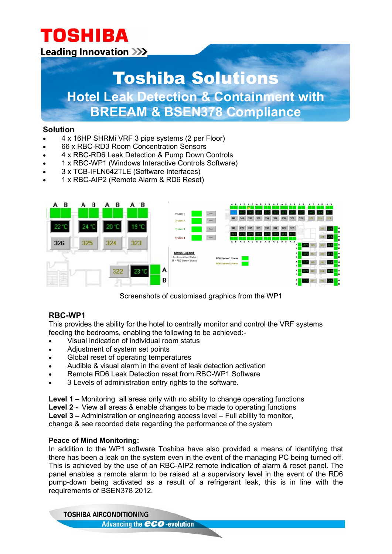# **TOSHIBA**

### **Leading Innovation >>>**

## Toshiba Solutions **Hotel Leak Detection & Containment with**

### **BREEAM & BSEN378 Compliance**

### **Solution**

- 4 x 16HP SHRMi VRF 3 pipe systems (2 per Floor)
- 66 x RBC-RD3 Room Concentration Sensors
- 4 x RBC-RD6 Leak Detection & Pump Down Controls
- 1 x RBC-WP1 (Windows Interactive Controls Software)
- 3 x TCB-IFLN642TLE (Software Interfaces)
- 1 x RBC-AIP2 (Remote Alarm & RD6 Reset)



Screenshots of customised graphics from the WP1

### **RBC-WP1**

This provides the ability for the hotel to centrally monitor and control the VRF systems feeding the bedrooms, enabling the following to be achieved:-

- Visual indication of individual room status
- Adjustment of system set points
- Global reset of operating temperatures
- Audible & visual alarm in the event of leak detection activation
- Remote RD6 Leak Detection reset from RBC-WP1 Software
- 3 Levels of administration entry rights to the software.

**Level 1 –** Monitoring all areas only with no ability to change operating functions

**Level 2 -** View all areas & enable changes to be made to operating functions

**Level 3 –** Administration or engineering access level – Full ability to monitor,

change & see recorded data regarding the performance of the system

### **Peace of Mind Monitoring:**

In addition to the WP1 software Toshiba have also provided a means of identifying that there has been a leak on the system even in the event of the managing PC being turned off. This is achieved by the use of an RBC-AIP2 remote indication of alarm & reset panel. The panel enables a remote alarm to be raised at a supervisory level in the event of the RD6 pump-down being activated as a result of a refrigerant leak, this is in line with the requirements of BSEN378 2012.

**TOSHIBA AIRCONDITIONING Advancing the CCO-evolution**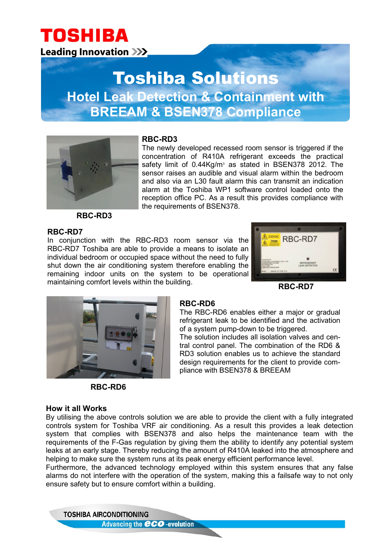### **TOSHIBA Leading Innovation >>>**

### Toshiba Solutions **Hotel Leak Detection & Containment with BREEAM & BSEN378 Compliance**



### **RBC-RD3**

The newly developed recessed room sensor is triggered if the concentration of R410A refrigerant exceeds the practical safety limit of 0.44Kg/m<sup>3</sup> as stated in BSEN378 2012. The sensor raises an audible and visual alarm within the bedroom and also via an L30 fault alarm this can transmit an indication alarm at the Toshiba WP1 software control loaded onto the reception office PC. As a result this provides compliance with the requirements of BSEN378.

**RBC-RD3**

### **RBC-RD7**

In conjunction with the RBC-RD3 room sensor via the RBC-RD7 Toshiba are able to provide a means to isolate an individual bedroom or occupied space without the need to fully shut down the air conditioning system therefore enabling the remaining indoor units on the system to be operational maintaining comfort levels within the building.



**RBC-RD7**



**RBC-RD6**

### **How it all Works**

By utilising the above controls solution we are able to provide the client with a fully integrated controls system for Toshiba VRF air conditioning. As a result this provides a leak detection system that complies with BSEN378 and also helps the maintenance team with the requirements of the F-Gas regulation by giving them the ability to identify any potential system leaks at an early stage. Thereby reducing the amount of R410A leaked into the atmosphere and helping to make sure the system runs at its peak energy efficient performance level.

Furthermore, the advanced technology employed within this system ensures that any false alarms do not interfere with the operation of the system, making this a failsafe way to not only ensure safety but to ensure comfort within a building.

**TOSHIBA AIRCONDITIONING Advancing the CCO-evolution** 

### **RBC-RD6**

The RBC-RD6 enables either a major or gradual refrigerant leak to be identified and the activation of a system pump-down to be triggered.

The solution includes all isolation valves and central control panel. The combination of the RD6 & RD3 solution enables us to achieve the standard design requirements for the client to provide compliance with BSEN378 & BREEAM